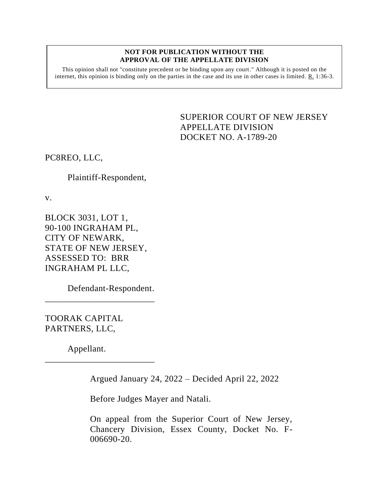#### **NOT FOR PUBLICATION WITHOUT THE APPROVAL OF THE APPELLATE DIVISION**

This opinion shall not "constitute precedent or be binding upon any court." Although it is posted on the internet, this opinion is binding only on the parties in the case and its use in other cases is limited. R. 1:36-3.

> <span id="page-0-0"></span>SUPERIOR COURT OF NEW JERSEY APPELLATE DIVISION DOCKET NO. A-1789-20

PC8REO, LLC,

# Plaintiff-Respondent,

v.

BLOCK 3031, LOT 1, 90-100 INGRAHAM PL, CITY OF NEWARK, STATE OF NEW JERSEY, ASSESSED TO: BRR INGRAHAM PL LLC,

Defendant-Respondent.

\_\_\_\_\_\_\_\_\_\_\_\_\_\_\_\_\_\_\_\_\_\_\_\_

\_\_\_\_\_\_\_\_\_\_\_\_\_\_\_\_\_\_\_\_\_\_\_\_

TOORAK CAPITAL PARTNERS, LLC,

Appellant.

Argued January 24, 2022 – Decided April 22, 2022

Before Judges Mayer and Natali.

On appeal from the Superior Court of New Jersey, Chancery Division, Essex County, Docket No. F-006690-20.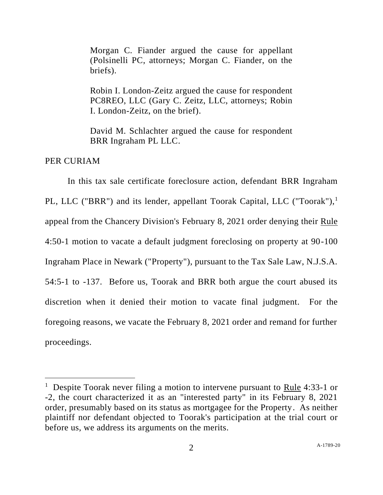Morgan C. Fiander argued the cause for appellant (Polsinelli PC, attorneys; Morgan C. Fiander, on the briefs).

Robin I. London-Zeitz argued the cause for respondent PC8REO, LLC (Gary C. Zeitz, LLC, attorneys; Robin I. London-Zeitz, on the brief).

David M. Schlachter argued the cause for respondent BRR Ingraham PL LLC.

PER CURIAM

In this tax sale certificate foreclosure action, defendant BRR Ingraham PL, LLC ("BRR") and its lender, appellant Toorak Capital, LLC ("Toorak"),<sup>1</sup> appeal from the Chancery Division's February 8, 2021 order denying their Rule 4:50-1 motion to vacate a default judgment foreclosing on property at 90-100 Ingraham Place in Newark ("Property"), pursuant to the Tax Sale Law, N.J.S.A. 54:5-1 to -137. Before us, Toorak and BRR both argue the court abused its discretion when it denied their motion to vacate final judgment. For the foregoing reasons, we vacate the February 8, 2021 order and remand for further proceedings.

<sup>&</sup>lt;sup>1</sup> Despite Toorak never filing a motion to intervene pursuant to Rule 4:33-1 or -2, the court characterized it as an "interested party" in its February 8, 2021 order, presumably based on its status as mortgagee for the Property. As neither plaintiff nor defendant objected to Toorak's participation at the trial court or before us, we address its arguments on the merits.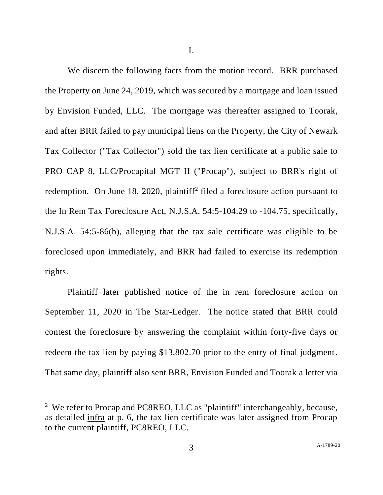I.

We discern the following facts from the motion record. BRR purchased the Property on June 24, 2019, which was secured by a mortgage and loan issued by Envision Funded, LLC. The mortgage was thereafter assigned to Toorak, and after BRR failed to pay municipal liens on the Property, the City of Newark Tax Collector ("Tax Collector") sold the tax lien certificate at a public sale to PRO CAP 8, LLC/Procapital MGT II ("Procap"), subject to BRR's right of redemption. On June 18, 2020, plaintiff<sup>2</sup> filed a foreclosure action pursuant to the In Rem Tax Foreclosure Act, N.J.S.A. 54:5-104.29 to -104.75, specifically, N.J.S.A. 54:5-86(b), alleging that the tax sale certificate was eligible to be foreclosed upon immediately, and BRR had failed to exercise its redemption rights.

Plaintiff later published notice of the in rem foreclosure action on September 11, 2020 in The Star-Ledger. The notice stated that BRR could contest the foreclosure by answering the complaint within forty-five days or redeem the tax lien by paying \$13,802.70 prior to the entry of final judgment. That same day, plaintiff also sent BRR, Envision Funded and Toorak a letter via

<sup>&</sup>lt;sup>2</sup> We refer to Procap and PC8REO, LLC as "plaintiff" interchangeably, because, as detailed infra at p. 6, the tax lien certificate was later assigned from Procap to the current plaintiff, PC8REO, LLC.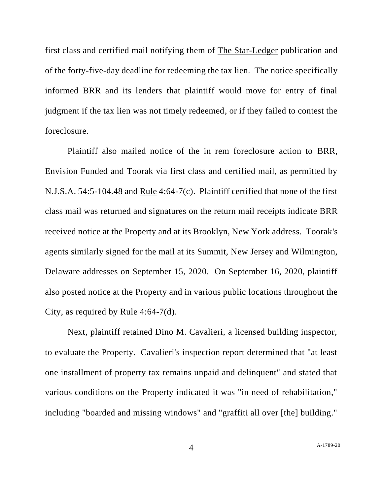first class and certified mail notifying them of The Star-Ledger publication and of the forty-five-day deadline for redeeming the tax lien. The notice specifically informed BRR and its lenders that plaintiff would move for entry of final judgment if the tax lien was not timely redeemed, or if they failed to contest the foreclosure.

Plaintiff also mailed notice of the in rem foreclosure action to BRR, Envision Funded and Toorak via first class and certified mail, as permitted by N.J.S.A. 54:5-104.48 and Rule 4:64-7(c). Plaintiff certified that none of the first class mail was returned and signatures on the return mail receipts indicate BRR received notice at the Property and at its Brooklyn, New York address. Toorak's agents similarly signed for the mail at its Summit, New Jersey and Wilmington, Delaware addresses on September 15, 2020. On September 16, 2020, plaintiff also posted notice at the Property and in various public locations throughout the City, as required by <u>Rule</u> 4:64-7(d).

Next, plaintiff retained Dino M. Cavalieri, a licensed building inspector, to evaluate the Property. Cavalieri's inspection report determined that "at least one installment of property tax remains unpaid and delinquent" and stated that various conditions on the Property indicated it was "in need of rehabilitation," including "boarded and missing windows" and "graffiti all over [the] building."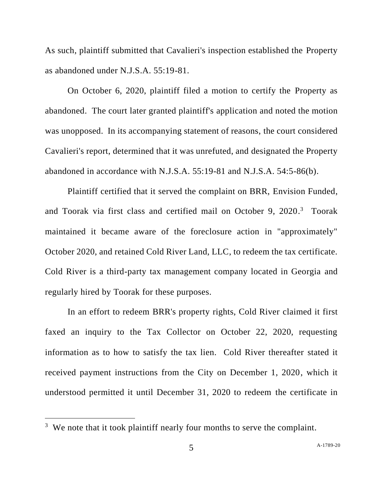As such, plaintiff submitted that Cavalieri's inspection established the Property as abandoned under N.J.S.A. 55:19-81.

On October 6, 2020, plaintiff filed a motion to certify the Property as abandoned. The court later granted plaintiff's application and noted the motion was unopposed. In its accompanying statement of reasons, the court considered Cavalieri's report, determined that it was unrefuted, and designated the Property abandoned in accordance with N.J.S.A. 55:19-81 and N.J.S.A. 54:5-86(b).

Plaintiff certified that it served the complaint on BRR, Envision Funded, and Toorak via first class and certified mail on October 9, 2020.<sup>3</sup> Toorak maintained it became aware of the foreclosure action in "approximately" October 2020, and retained Cold River Land, LLC, to redeem the tax certificate. Cold River is a third-party tax management company located in Georgia and regularly hired by Toorak for these purposes.

In an effort to redeem BRR's property rights, Cold River claimed it first faxed an inquiry to the Tax Collector on October 22, 2020, requesting information as to how to satisfy the tax lien. Cold River thereafter stated it received payment instructions from the City on December 1, 2020, which it understood permitted it until December 31, 2020 to redeem the certificate in

 $3$  We note that it took plaintiff nearly four months to serve the complaint.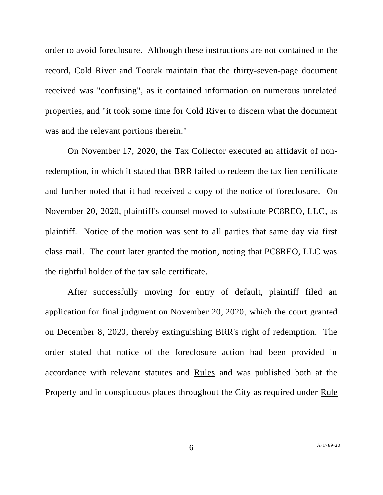order to avoid foreclosure. Although these instructions are not contained in the record, Cold River and Toorak maintain that the thirty-seven-page document received was "confusing", as it contained information on numerous unrelated properties, and "it took some time for Cold River to discern what the document was and the relevant portions therein."

On November 17, 2020, the Tax Collector executed an affidavit of nonredemption, in which it stated that BRR failed to redeem the tax lien certificate and further noted that it had received a copy of the notice of foreclosure. On November 20, 2020, plaintiff's counsel moved to substitute PC8REO, LLC, as plaintiff. Notice of the motion was sent to all parties that same day via first class mail. The court later granted the motion, noting that PC8REO, LLC was the rightful holder of the tax sale certificate.

After successfully moving for entry of default, plaintiff filed an application for final judgment on November 20, 2020, which the court granted on December 8, 2020, thereby extinguishing BRR's right of redemption. The order stated that notice of the foreclosure action had been provided in accordance with relevant statutes and Rules and was published both at the Property and in conspicuous places throughout the City as required under Rule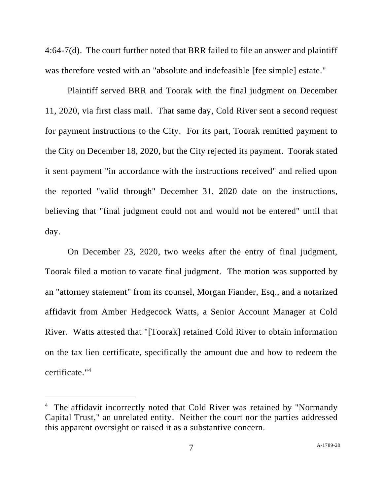4:64-7(d). The court further noted that BRR failed to file an answer and plaintiff was therefore vested with an "absolute and indefeasible [fee simple] estate."

Plaintiff served BRR and Toorak with the final judgment on December 11, 2020, via first class mail. That same day, Cold River sent a second request for payment instructions to the City. For its part, Toorak remitted payment to the City on December 18, 2020, but the City rejected its payment. Toorak stated it sent payment "in accordance with the instructions received" and relied upon the reported "valid through" December 31, 2020 date on the instructions, believing that "final judgment could not and would not be entered" until that day.

On December 23, 2020, two weeks after the entry of final judgment, Toorak filed a motion to vacate final judgment. The motion was supported by an "attorney statement" from its counsel, Morgan Fiander, Esq., and a notarized affidavit from Amber Hedgecock Watts, a Senior Account Manager at Cold River. Watts attested that "[Toorak] retained Cold River to obtain information on the tax lien certificate, specifically the amount due and how to redeem the certificate." 4

<sup>&</sup>lt;sup>4</sup> The affidavit incorrectly noted that Cold River was retained by "Normandy Capital Trust," an unrelated entity. Neither the court nor the parties addressed this apparent oversight or raised it as a substantive concern.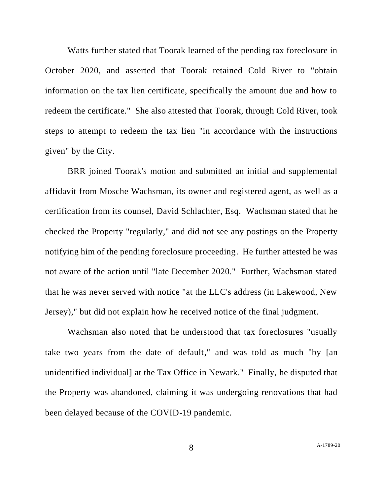Watts further stated that Toorak learned of the pending tax foreclosure in October 2020, and asserted that Toorak retained Cold River to "obtain information on the tax lien certificate, specifically the amount due and how to redeem the certificate." She also attested that Toorak, through Cold River, took steps to attempt to redeem the tax lien "in accordance with the instructions given" by the City.

BRR joined Toorak's motion and submitted an initial and supplemental affidavit from Mosche Wachsman, its owner and registered agent, as well as a certification from its counsel, David Schlachter, Esq. Wachsman stated that he checked the Property "regularly," and did not see any postings on the Property notifying him of the pending foreclosure proceeding. He further attested he was not aware of the action until "late December 2020." Further, Wachsman stated that he was never served with notice "at the LLC's address (in Lakewood, New Jersey)," but did not explain how he received notice of the final judgment.

Wachsman also noted that he understood that tax foreclosures "usually take two years from the date of default," and was told as much "by [an unidentified individual] at the Tax Office in Newark." Finally, he disputed that the Property was abandoned, claiming it was undergoing renovations that had been delayed because of the COVID-19 pandemic.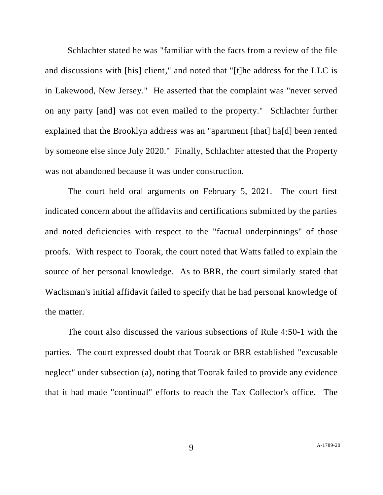Schlachter stated he was "familiar with the facts from a review of the file and discussions with [his] client," and noted that "[t]he address for the LLC is in Lakewood, New Jersey." He asserted that the complaint was "never served on any party [and] was not even mailed to the property." Schlachter further explained that the Brooklyn address was an "apartment [that] ha[d] been rented by someone else since July 2020." Finally, Schlachter attested that the Property was not abandoned because it was under construction.

The court held oral arguments on February 5, 2021. The court first indicated concern about the affidavits and certifications submitted by the parties and noted deficiencies with respect to the "factual underpinnings" of those proofs. With respect to Toorak, the court noted that Watts failed to explain the source of her personal knowledge. As to BRR, the court similarly stated that Wachsman's initial affidavit failed to specify that he had personal knowledge of the matter.

The court also discussed the various subsections of Rule 4:50-1 with the parties. The court expressed doubt that Toorak or BRR established "excusable neglect" under subsection (a), noting that Toorak failed to provide any evidence that it had made "continual" efforts to reach the Tax Collector's office. The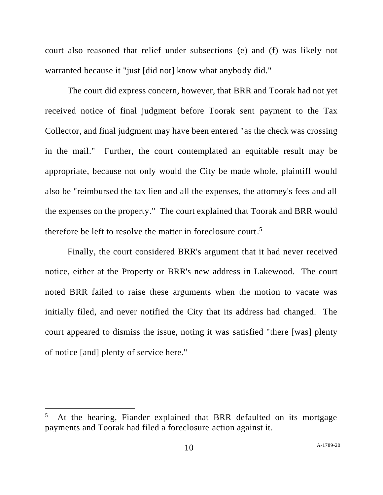court also reasoned that relief under subsections (e) and (f) was likely not warranted because it "just [did not] know what anybody did."

The court did express concern, however, that BRR and Toorak had not yet received notice of final judgment before Toorak sent payment to the Tax Collector, and final judgment may have been entered "as the check was crossing in the mail." Further, the court contemplated an equitable result may be appropriate, because not only would the City be made whole, plaintiff would also be "reimbursed the tax lien and all the expenses, the attorney's fees and all the expenses on the property." The court explained that Toorak and BRR would therefore be left to resolve the matter in foreclosure court. 5

Finally, the court considered BRR's argument that it had never received notice, either at the Property or BRR's new address in Lakewood. The court noted BRR failed to raise these arguments when the motion to vacate was initially filed, and never notified the City that its address had changed. The court appeared to dismiss the issue, noting it was satisfied "there [was] plenty of notice [and] plenty of service here."

<sup>5</sup> At the hearing, Fiander explained that BRR defaulted on its mortgage payments and Toorak had filed a foreclosure action against it.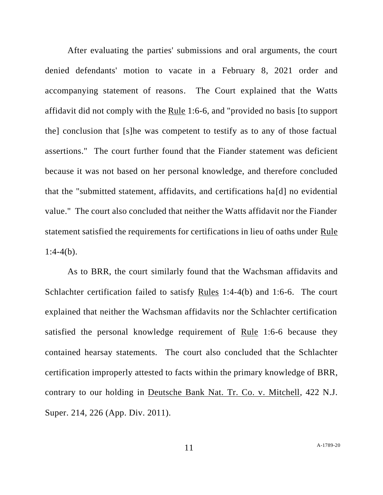After evaluating the parties' submissions and oral arguments, the court denied defendants' motion to vacate in a February 8, 2021 order and accompanying statement of reasons. The Court explained that the Watts affidavit did not comply with the Rule 1:6-6, and "provided no basis [to support the] conclusion that [s]he was competent to testify as to any of those factual assertions." The court further found that the Fiander statement was deficient because it was not based on her personal knowledge, and therefore concluded that the "submitted statement, affidavits, and certifications ha[d] no evidential value." The court also concluded that neither the Watts affidavit nor the Fiander statement satisfied the requirements for certifications in lieu of oaths under Rule  $1:4-4(b)$ .

As to BRR, the court similarly found that the Wachsman affidavits and Schlachter certification failed to satisfy Rules 1:4-4(b) and 1:6-6. The court explained that neither the Wachsman affidavits nor the Schlachter certification satisfied the personal knowledge requirement of Rule 1:6-6 because they contained hearsay statements. The court also concluded that the Schlachter certification improperly attested to facts within the primary knowledge of BRR, contrary to our holding in Deutsche Bank Nat. Tr. Co. v. Mitchell, 422 N.J. Super. 214, 226 (App. Div. 2011).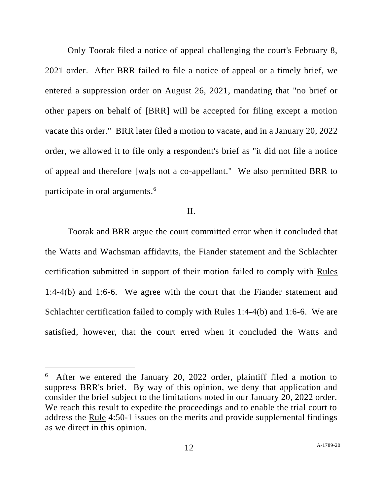Only Toorak filed a notice of appeal challenging the court's February 8, 2021 order. After BRR failed to file a notice of appeal or a timely brief, we entered a suppression order on August 26, 2021, mandating that "no brief or other papers on behalf of [BRR] will be accepted for filing except a motion vacate this order." BRR later filed a motion to vacate, and in a January 20, 2022 order, we allowed it to file only a respondent's brief as "it did not file a notice of appeal and therefore [wa]s not a co-appellant." We also permitted BRR to participate in oral arguments.<sup>6</sup>

### II.

Toorak and BRR argue the court committed error when it concluded that the Watts and Wachsman affidavits, the Fiander statement and the Schlachter certification submitted in support of their motion failed to comply with Rules 1:4-4(b) and 1:6-6. We agree with the court that the Fiander statement and Schlachter certification failed to comply with Rules 1:4-4(b) and 1:6-6. We are satisfied, however, that the court erred when it concluded the Watts and

 $6$  After we entered the January 20, 2022 order, plaintiff filed a motion to suppress BRR's brief. By way of this opinion, we deny that application and consider the brief subject to the limitations noted in our January 20, 2022 order. We reach this result to expedite the proceedings and to enable the trial court to address the Rule 4:50-1 issues on the merits and provide supplemental findings as we direct in this opinion.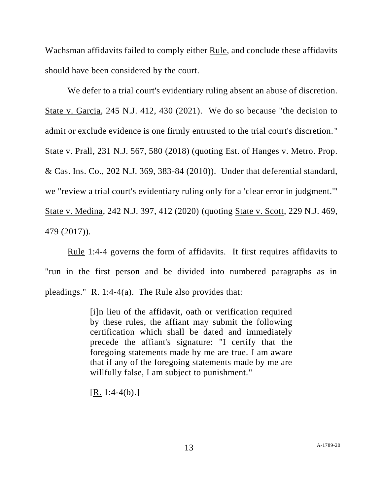Wachsman affidavits failed to comply either Rule, and conclude these affidavits should have been considered by the court.

We defer to a trial court's evidentiary ruling absent an abuse of discretion. State v. Garcia, 245 N.J. 412, 430 (2021). We do so because "the decision to admit or exclude evidence is one firmly entrusted to the trial court's discretion." State v. Prall, 231 N.J. 567, 580 (2018) (quoting Est. of Hanges v. Metro. Prop. & Cas. Ins. Co., 202 N.J. 369, 383-84 (2010)). Under that deferential standard, we "review a trial court's evidentiary ruling only for a 'clear error in judgment.'" State v. Medina, 242 N.J. 397, 412 (2020) (quoting State v. Scott, 229 N.J. 469, 479 (2017)).

Rule 1:4-4 governs the form of affidavits. It first requires affidavits to "run in the first person and be divided into numbered paragraphs as in pleadings."  $R. 1:4-4(a)$ . The Rule also provides that:

> [i]n lieu of the affidavit, oath or verification required by these rules, the affiant may submit the following certification which shall be dated and immediately precede the affiant's signature: "I certify that the foregoing statements made by me are true. I am aware that if any of the foregoing statements made by me are willfully false, I am subject to punishment."

 $[R. 1:4-4(b).]$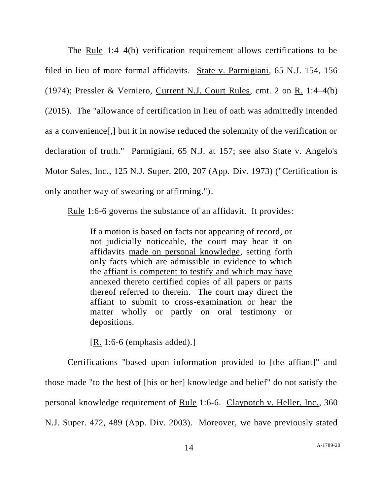The Rule 1:4–4(b) verification requirement allows certifications to be filed in lieu of more formal affidavits. State v. Parmigiani, 65 N.J. 154, 156 (1974); Pressler & Verniero, Current N.J. Court Rules, cmt. 2 on R. 1:4–4(b) (2015). The "allowance of certification in lieu of oath was admittedly intended as a convenience[,] but it in nowise reduced the solemnity of the verification or declaration of truth." Parmigiani, 65 N.J. at 157; see also State v. Angelo's Motor Sales, Inc., 125 N.J. Super. 200, 207 (App. Div. 1973) ("Certification is only another way of swearing or affirming.").

Rule 1:6-6 governs the substance of an affidavit. It provides:

If a motion is based on facts not appearing of record, or not judicially noticeable, the court may hear it on affidavits made on personal knowledge, setting forth only facts which are admissible in evidence to which the affiant is competent to testify and which may have annexed thereto certified copies of all papers or parts thereof referred to therein. The court may direct the affiant to submit to cross-examination or hear the matter wholly or partly on oral testimony or depositions.

[R. 1:6-6 (emphasis added).]

Certifications "based upon information provided to [the affiant]" and those made "to the best of [his or her] knowledge and belief" do not satisfy the personal knowledge requirement of Rule 1:6-6. Claypotch v. Heller, Inc., 360 N.J. Super. 472, 489 (App. Div. 2003). Moreover, we have previously stated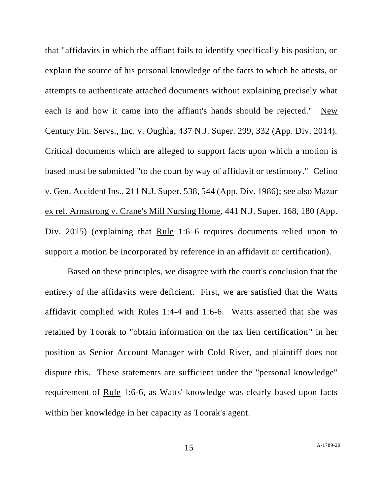that "affidavits in which the affiant fails to identify specifically his position, or explain the source of his personal knowledge of the facts to which he attests, or attempts to authenticate attached documents without explaining precisely what each is and how it came into the affiant's hands should be rejected." New Century Fin. Servs., Inc. v. Oughla, 437 N.J. Super. 299, 332 (App. Div. 2014). Critical documents which are alleged to support facts upon which a motion is based must be submitted "to the court by way of affidavit or testimony." Celino v. Gen. Accident Ins., 211 N.J. Super. 538, 544 (App. Div. 1986); see also Mazur ex rel. Armstrong v. Crane's Mill Nursing Home, 441 N.J. Super. 168, 180 (App. Div. 2015) (explaining that Rule 1:6–6 requires documents relied upon to support a motion be incorporated by reference in an affidavit or certification).

Based on these principles, we disagree with the court's conclusion that the entirety of the affidavits were deficient. First, we are satisfied that the Watts affidavit complied with Rules 1:4-4 and 1:6-6. Watts asserted that she was retained by Toorak to "obtain information on the tax lien certification" in her position as Senior Account Manager with Cold River, and plaintiff does not dispute this. These statements are sufficient under the "personal knowledge" requirement of Rule 1:6-6, as Watts' knowledge was clearly based upon facts within her knowledge in her capacity as Toorak's agent.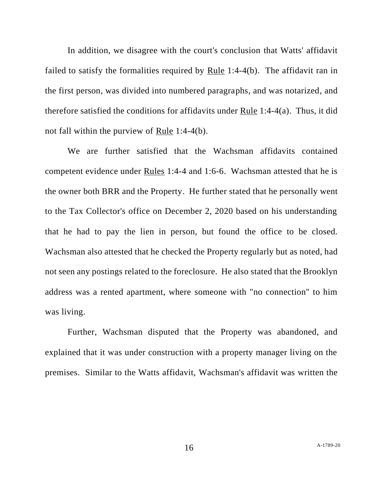In addition, we disagree with the court's conclusion that Watts' affidavit failed to satisfy the formalities required by Rule 1:4-4(b). The affidavit ran in the first person, was divided into numbered paragraphs, and was notarized, and therefore satisfied the conditions for affidavits under Rule 1:4-4(a). Thus, it did not fall within the purview of Rule 1:4-4(b).

We are further satisfied that the Wachsman affidavits contained competent evidence under Rules 1:4-4 and 1:6-6. Wachsman attested that he is the owner both BRR and the Property. He further stated that he personally went to the Tax Collector's office on December 2, 2020 based on his understanding that he had to pay the lien in person, but found the office to be closed. Wachsman also attested that he checked the Property regularly but as noted, had not seen any postings related to the foreclosure. He also stated that the Brooklyn address was a rented apartment, where someone with "no connection" to him was living.

Further, Wachsman disputed that the Property was abandoned, and explained that it was under construction with a property manager living on the premises. Similar to the Watts affidavit, Wachsman's affidavit was written the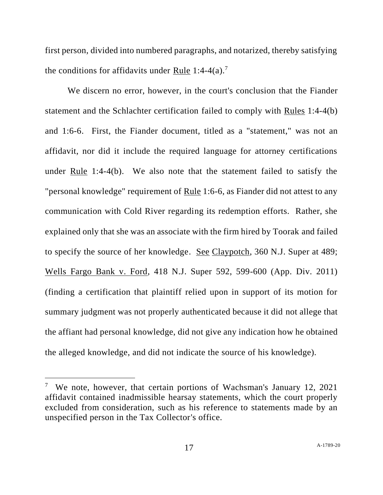first person, divided into numbered paragraphs, and notarized, thereby satisfying the conditions for affidavits under Rule 1:4-4(a).<sup>7</sup>

We discern no error, however, in the court's conclusion that the Fiander statement and the Schlachter certification failed to comply with Rules 1:4-4(b) and 1:6-6. First, the Fiander document, titled as a "statement," was not an affidavit, nor did it include the required language for attorney certifications under Rule 1:4-4(b). We also note that the statement failed to satisfy the "personal knowledge" requirement of Rule 1:6-6, as Fiander did not attest to any communication with Cold River regarding its redemption efforts. Rather, she explained only that she was an associate with the firm hired by Toorak and failed to specify the source of her knowledge. See Claypotch, 360 N.J. Super at 489; Wells Fargo Bank v. Ford, 418 N.J. Super 592, 599-600 (App. Div. 2011) (finding a certification that plaintiff relied upon in support of its motion for summary judgment was not properly authenticated because it did not allege that the affiant had personal knowledge, did not give any indication how he obtained the alleged knowledge, and did not indicate the source of his knowledge).

<sup>&</sup>lt;sup>7</sup> We note, however, that certain portions of Wachsman's January 12, 2021 affidavit contained inadmissible hearsay statements, which the court properly excluded from consideration, such as his reference to statements made by an unspecified person in the Tax Collector's office.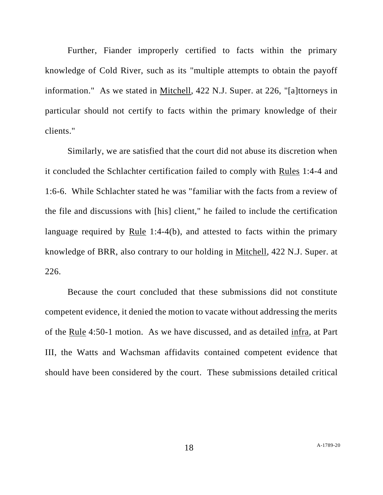Further, Fiander improperly certified to facts within the primary knowledge of Cold River, such as its "multiple attempts to obtain the payoff information." As we stated in Mitchell, 422 N.J. Super. at 226, "[a]ttorneys in particular should not certify to facts within the primary knowledge of their clients."

Similarly, we are satisfied that the court did not abuse its discretion when it concluded the Schlachter certification failed to comply with Rules 1:4-4 and 1:6-6. While Schlachter stated he was "familiar with the facts from a review of the file and discussions with [his] client," he failed to include the certification language required by Rule 1:4-4(b), and attested to facts within the primary knowledge of BRR, also contrary to our holding in Mitchell, 422 N.J. Super. at 226.

Because the court concluded that these submissions did not constitute competent evidence, it denied the motion to vacate without addressing the merits of the Rule 4:50-1 motion. As we have discussed, and as detailed infra, at Part III, the Watts and Wachsman affidavits contained competent evidence that should have been considered by the court. These submissions detailed critical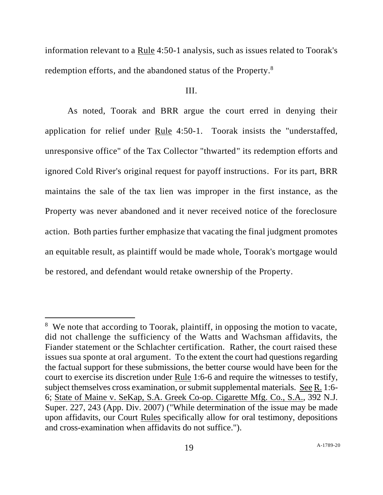information relevant to a Rule 4:50-1 analysis, such as issues related to Toorak's redemption efforts, and the abandoned status of the Property.<sup>8</sup>

## III.

As noted, Toorak and BRR argue the court erred in denying their application for relief under Rule 4:50-1. Toorak insists the "understaffed, unresponsive office" of the Tax Collector "thwarted" its redemption efforts and ignored Cold River's original request for payoff instructions. For its part, BRR maintains the sale of the tax lien was improper in the first instance, as the Property was never abandoned and it never received notice of the foreclosure action. Both parties further emphasize that vacating the final judgment promotes an equitable result, as plaintiff would be made whole, Toorak's mortgage would be restored, and defendant would retake ownership of the Property.

<sup>&</sup>lt;sup>8</sup> We note that according to Toorak, plaintiff, in opposing the motion to vacate, did not challenge the sufficiency of the Watts and Wachsman affidavits, the Fiander statement or the Schlachter certification. Rather, the court raised these issues sua sponte at oral argument. To the extent the court had questions regarding the factual support for these submissions, the better course would have been for the court to exercise its discretion under Rule 1:6-6 and require the witnesses to testify, subject themselves cross examination, or submit supplemental materials. See R. 1:6- 6; State of Maine v. SeKap, S.A. Greek Co-op. Cigarette Mfg. Co., S.A., 392 N.J. Super. 227, 243 (App. Div. 2007) ("While determination of the issue may be made upon affidavits, our Court Rules specifically allow for oral testimony, depositions and cross-examination when affidavits do not suffice.").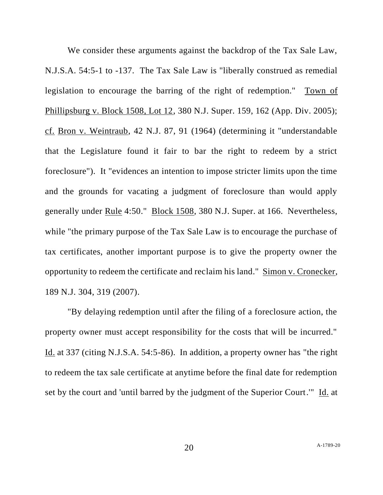We consider these arguments against the backdrop of the Tax Sale Law, N.J.S.A. 54:5-1 to -137. The Tax Sale Law is "liberally construed as remedial legislation to encourage the barring of the right of redemption." Town of Phillipsburg v. Block 1508, Lot 12, 380 N.J. Super. 159, 162 (App. Div. 2005); cf. Bron v. Weintraub, 42 N.J. 87, 91 (1964) (determining it "understandable that the Legislature found it fair to bar the right to redeem by a strict foreclosure"). It "evidences an intention to impose stricter limits upon the time and the grounds for vacating a judgment of foreclosure than would apply generally under Rule 4:50." Block 1508, 380 N.J. Super. at 166. Nevertheless, while "the primary purpose of the Tax Sale Law is to encourage the purchase of tax certificates, another important purpose is to give the property owner the opportunity to redeem the certificate and reclaim his land." Simon v. Cronecker, 189 N.J. 304, 319 (2007).

"By delaying redemption until after the filing of a foreclosure action, the property owner must accept responsibility for the costs that will be incurred." Id. at 337 (citing N.J.S.A. 54:5-86). In addition, a property owner has "the right to redeem the tax sale certificate at anytime before the final date for redemption set by the court and 'until barred by the judgment of the Superior Court.'" Id. at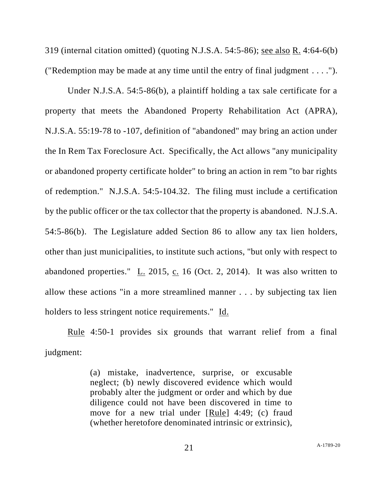319 (internal citation omitted) (quoting N.J.S.A. 54:5-86); see also R. 4:64-6(b) ("Redemption may be made at any time until the entry of final judgment . . . .").

Under N.J.S.A. 54:5-86(b), a plaintiff holding a tax sale certificate for a property that meets the Abandoned Property Rehabilitation Act (APRA), N.J.S.A. 55:19-78 to -107, definition of "abandoned" may bring an action under the In Rem Tax Foreclosure Act. Specifically, the Act allows "any municipality or abandoned property certificate holder" to bring an action in rem "to bar rights of redemption." N.J.S.A. 54:5-104.32. The filing must include a certification by the public officer or the tax collector that the property is abandoned. N.J.S.A. 54:5-86(b). The Legislature added Section 86 to allow any tax lien holders, other than just municipalities, to institute such actions, "but only with respect to abandoned properties." L. 2015, c. 16 (Oct. 2, 2014). It was also written to allow these actions "in a more streamlined manner . . . by subjecting tax lien holders to less stringent notice requirements." Id.

Rule 4:50-1 provides six grounds that warrant relief from a final judgment:

> (a) mistake, inadvertence, surprise, or excusable neglect; (b) newly discovered evidence which would probably alter the judgment or order and which by due diligence could not have been discovered in time to move for a new trial under [Rule] 4:49; (c) fraud (whether heretofore denominated intrinsic or extrinsic),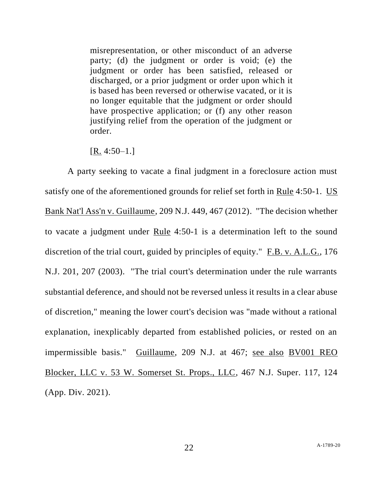misrepresentation, or other misconduct of an adverse party; (d) the judgment or order is void; (e) the judgment or order has been satisfied, released or discharged, or a prior judgment or order upon which it is based has been reversed or otherwise vacated, or it is no longer equitable that the judgment or order should have prospective application; or (f) any other reason justifying relief from the operation of the judgment or order.

#### $[R. 4:50-1.]$

A party seeking to vacate a final judgment in a foreclosure action must satisfy one of the aforementioned grounds for relief set forth in Rule 4:50-1. US Bank Nat'l Ass'n v. Guillaume, 209 N.J. 449, 467 (2012). "The decision whether to vacate a judgment under Rule 4:50-1 is a determination left to the sound discretion of the trial court, guided by principles of equity." F.B. v. A.L.G., 176 N.J. 201, 207 (2003). "The trial court's determination under the rule warrants substantial deference, and should not be reversed unless it results in a clear abuse of discretion," meaning the lower court's decision was "made without a rational explanation, inexplicably departed from established policies, or rested on an impermissible basis." Guillaume, 209 N.J. at 467; see also BV001 REO Blocker, LLC v. 53 W. Somerset St. Props., LLC, 467 N.J. Super. 117, 124 (App. Div. 2021).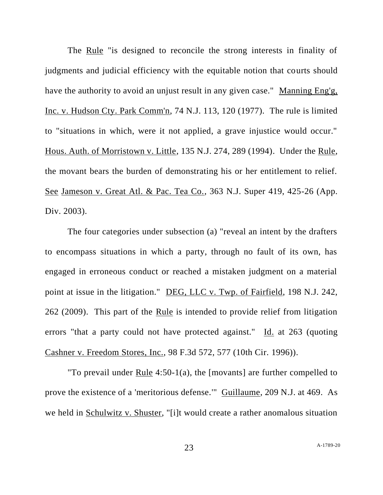The Rule "is designed to reconcile the strong interests in finality of judgments and judicial efficiency with the equitable notion that courts should have the authority to avoid an unjust result in any given case." Manning Eng'g, Inc. v. Hudson Cty. Park Comm'n, 74 N.J. 113, 120 (1977). The rule is limited to "situations in which, were it not applied, a grave injustice would occur." Hous. Auth. of Morristown v. Little, 135 N.J. 274, 289 (1994). Under the Rule, the movant bears the burden of demonstrating his or her entitlement to relief. See Jameson v. Great Atl. & Pac. Tea Co., 363 N.J. Super 419, 425-26 (App. Div. 2003).

The four categories under subsection (a) "reveal an intent by the drafters to encompass situations in which a party, through no fault of its own, has engaged in erroneous conduct or reached a mistaken judgment on a material point at issue in the litigation." DEG, LLC v. Twp. of Fairfield, 198 N.J. 242, 262 (2009). This part of the Rule is intended to provide relief from litigation errors "that a party could not have protected against." Id. at 263 (quoting Cashner v. Freedom Stores, Inc., 98 F.3d 572, 577 (10th Cir. 1996)).

"To prevail under Rule 4:50-1(a), the [movants] are further compelled to prove the existence of a 'meritorious defense.'" Guillaume, 209 N.J. at 469. As we held in Schulwitz v. Shuster, "[i]t would create a rather anomalous situation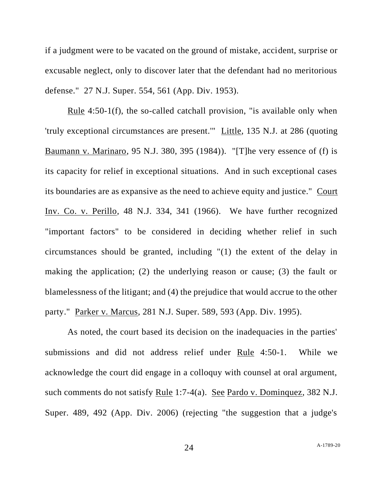if a judgment were to be vacated on the ground of mistake, accident, surprise or excusable neglect, only to discover later that the defendant had no meritorious defense." 27 N.J. Super. 554, 561 (App. Div. 1953).

Rule 4:50-1(f), the so-called catchall provision, "is available only when 'truly exceptional circumstances are present.'" Little, 135 N.J. at 286 (quoting Baumann v. Marinaro, 95 N.J. 380, 395 (1984)). "[T]he very essence of (f) is its capacity for relief in exceptional situations. And in such exceptional cases its boundaries are as expansive as the need to achieve equity and justice." Court Inv. Co. v. Perillo*,* 48 N.J. 334, 341 (1966). We have further recognized "important factors" to be considered in deciding whether relief in such circumstances should be granted, including "(1) the extent of the delay in making the application; (2) the underlying reason or cause; (3) the fault or blamelessness of the litigant; and (4) the prejudice that would accrue to the other party." Parker v. Marcus, 281 N.J. Super. 589, 593 (App. Div. 1995).

As noted, the court based its decision on the inadequacies in the parties' submissions and did not address relief under Rule 4:50-1. While we acknowledge the court did engage in a colloquy with counsel at oral argument, such comments do not satisfy Rule 1:7-4(a). See Pardo v. Dominquez, 382 N.J. Super. 489, 492 (App. Div. 2006) (rejecting "the suggestion that a judge's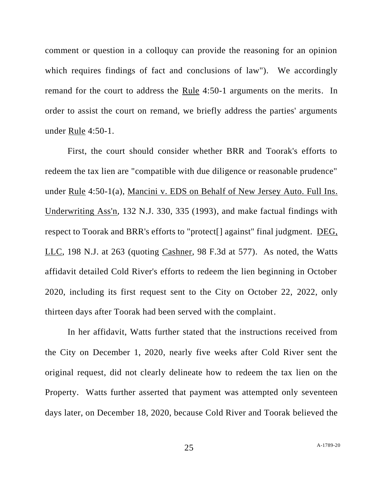comment or question in a colloquy can provide the reasoning for an opinion which requires findings of fact and conclusions of law"). We accordingly remand for the court to address the Rule 4:50-1 arguments on the merits. In order to assist the court on remand, we briefly address the parties' arguments under Rule 4:50-1.

First, the court should consider whether BRR and Toorak's efforts to redeem the tax lien are "compatible with due diligence or reasonable prudence" under Rule 4:50-1(a), Mancini v. EDS on Behalf of New Jersey Auto. Full Ins. Underwriting Ass'n, 132 N.J. 330, 335 (1993), and make factual findings with respect to Toorak and BRR's efforts to "protect[] against" final judgment. DEG, LLC, 198 N.J. at 263 (quoting Cashner, 98 F.3d at 577). As noted, the Watts affidavit detailed Cold River's efforts to redeem the lien beginning in October 2020, including its first request sent to the City on October 22, 2022, only thirteen days after Toorak had been served with the complaint.

In her affidavit, Watts further stated that the instructions received from the City on December 1, 2020, nearly five weeks after Cold River sent the original request, did not clearly delineate how to redeem the tax lien on the Property. Watts further asserted that payment was attempted only seventeen days later, on December 18, 2020, because Cold River and Toorak believed the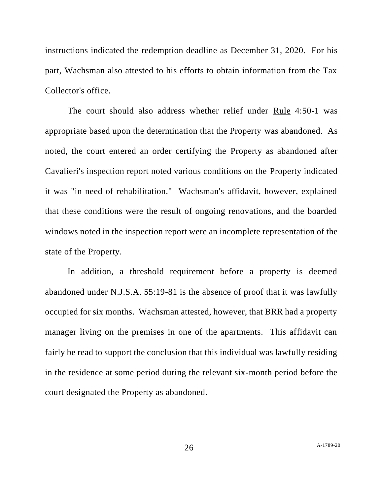instructions indicated the redemption deadline as December 31, 2020. For his part, Wachsman also attested to his efforts to obtain information from the Tax Collector's office.

The court should also address whether relief under Rule 4:50-1 was appropriate based upon the determination that the Property was abandoned. As noted, the court entered an order certifying the Property as abandoned after Cavalieri's inspection report noted various conditions on the Property indicated it was "in need of rehabilitation." Wachsman's affidavit, however, explained that these conditions were the result of ongoing renovations, and the boarded windows noted in the inspection report were an incomplete representation of the state of the Property.

In addition, a threshold requirement before a property is deemed abandoned under N.J.S.A. 55:19-81 is the absence of proof that it was lawfully occupied for six months. Wachsman attested, however, that BRR had a property manager living on the premises in one of the apartments. This affidavit can fairly be read to support the conclusion that this individual was lawfully residing in the residence at some period during the relevant six-month period before the court designated the Property as abandoned.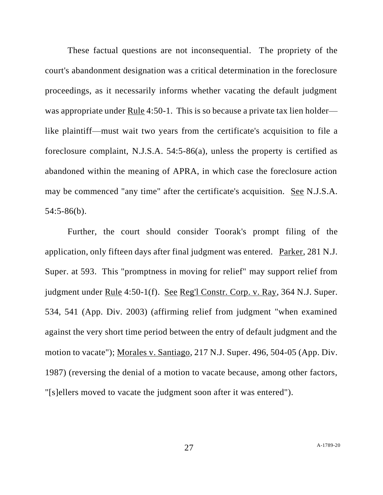These factual questions are not inconsequential. The propriety of the court's abandonment designation was a critical determination in the foreclosure proceedings, as it necessarily informs whether vacating the default judgment was appropriate under Rule 4:50-1. This is so because a private tax lien holder like plaintiff—must wait two years from the certificate's acquisition to file a foreclosure complaint, N.J.S.A. 54:5-86(a), unless the property is certified as abandoned within the meaning of APRA, in which case the foreclosure action may be commenced "any time" after the certificate's acquisition. See N.J.S.A. 54:5-86(b).

Further, the court should consider Toorak's prompt filing of the application, only fifteen days after final judgment was entered. Parker, 281 N.J. Super. at 593. This "promptness in moving for relief" may support relief from judgment under Rule 4:50-1(f). See Reg'l Constr. Corp. v. Ray, 364 N.J. Super. 534, 541 (App. Div. 2003) (affirming relief from judgment "when examined against the very short time period between the entry of default judgment and the motion to vacate"); Morales v. Santiago, 217 N.J. Super. 496, 504-05 (App. Div. 1987) (reversing the denial of a motion to vacate because, among other factors, "[s]ellers moved to vacate the judgment soon after it was entered").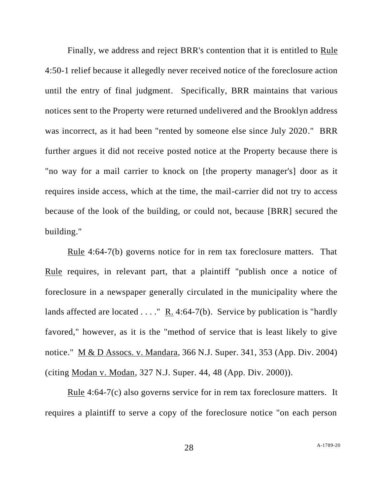Finally, we address and reject BRR's contention that it is entitled to Rule 4:50-1 relief because it allegedly never received notice of the foreclosure action until the entry of final judgment. Specifically, BRR maintains that various notices sent to the Property were returned undelivered and the Brooklyn address was incorrect, as it had been "rented by someone else since July 2020." BRR further argues it did not receive posted notice at the Property because there is "no way for a mail carrier to knock on [the property manager's] door as it requires inside access, which at the time, the mail-carrier did not try to access because of the look of the building, or could not, because [BRR] secured the building."

Rule 4:64-7(b) governs notice for in rem tax foreclosure matters. That Rule requires, in relevant part, that a plaintiff "publish once a notice of foreclosure in a newspaper generally circulated in the municipality where the lands affected are located . . . . "  $R_1$ . 4:64-7(b). Service by publication is "hardly favored," however, as it is the "method of service that is least likely to give notice." M & D Assocs. v. Mandara, 366 N.J. Super. 341, 353 (App. Div. 2004) (citing Modan v. Modan, 327 N.J. Super. 44, 48 (App. Div. 2000)).

Rule 4:64-7(c) also governs service for in rem tax foreclosure matters. It requires a plaintiff to serve a copy of the foreclosure notice "on each person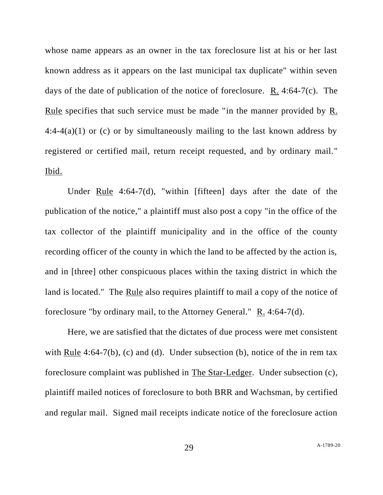whose name appears as an owner in the tax foreclosure list at his or her last known address as it appears on the last municipal tax duplicate" within seven days of the date of publication of the notice of foreclosure.  $R_1$ . 4:64-7(c). The Rule specifies that such service must be made "in the manner provided by R. 4:4-4(a)(1) or (c) or by simultaneously mailing to the last known address by registered or certified mail, return receipt requested, and by ordinary mail." Ibid.

Under Rule  $4:64-7(d)$ , "within [fifteen] days after the date of the publication of the notice," a plaintiff must also post a copy "in the office of the tax collector of the plaintiff municipality and in the office of the county recording officer of the county in which the land to be affected by the action is, and in [three] other conspicuous places within the taxing district in which the land is located." The Rule also requires plaintiff to mail a copy of the notice of foreclosure "by ordinary mail, to the Attorney General."  $R_1$ . 4:64-7(d).

Here, we are satisfied that the dictates of due process were met consistent with Rule 4:64-7(b), (c) and (d). Under subsection (b), notice of the in rem tax foreclosure complaint was published in The Star-Ledger. Under subsection (c), plaintiff mailed notices of foreclosure to both BRR and Wachsman, by certified and regular mail. Signed mail receipts indicate notice of the foreclosure action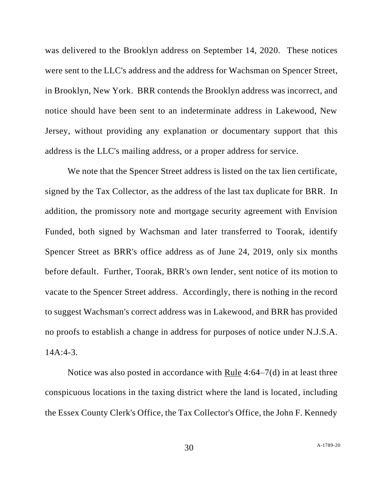was delivered to the Brooklyn address on September 14, 2020. These notices were sent to the LLC's address and the address for Wachsman on Spencer Street, in Brooklyn, New York. BRR contends the Brooklyn address was incorrect, and notice should have been sent to an indeterminate address in Lakewood, New Jersey, without providing any explanation or documentary support that this address is the LLC's mailing address, or a proper address for service.

We note that the Spencer Street address is listed on the tax lien certificate, signed by the Tax Collector, as the address of the last tax duplicate for BRR. In addition, the promissory note and mortgage security agreement with Envision Funded, both signed by Wachsman and later transferred to Toorak, identify Spencer Street as BRR's office address as of June 24, 2019, only six months before default. Further, Toorak, BRR's own lender, sent notice of its motion to vacate to the Spencer Street address. Accordingly, there is nothing in the record to suggest Wachsman's correct address was in Lakewood, and BRR has provided no proofs to establish a change in address for purposes of notice under N.J.S.A. 14A:4-3.

Notice was also posted in accordance with Rule 4:64–7(d) in at least three conspicuous locations in the taxing district where the land is located, including the Essex County Clerk's Office, the Tax Collector's Office, the John F. Kennedy